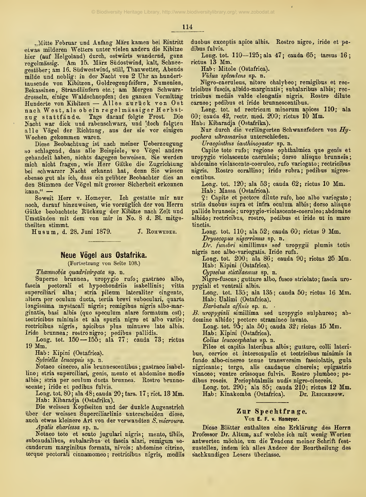114

"Mitte Februar und Anfang März kamen bei Eintritt etwas milderen Wetters unter vielen andern die Kibitze hier (auf Helgoland) durch, ostwärts wandernd, ganz regelmässig. Am 15. März Südostwind, kalt, Schneegestober; am 16. Siidwestwind, still, Thauwetter, Abends milde und neblig: in der Nacht von 2 Uhr an hunderttausende von Kibitzen, Goldregenpfeifern, Numenien, Bekassinen, Strandlaufern etc.; am Morgen Schwarzdrosseln, einige Waldschnepfen; den ganzen Vormittag Hunderte von Kibitzen — Alles zuriick von Ost nach West, als ob ein regelmässiger Herbstzug stattfände. Tags darauf folgte Frost. Die Nacht war dick und rabenschwarz, und 'doch folgten alle Vögel der Richtung, aus der sie vor einigen Wochen gekommen waren.

Diese Beobacbtung ist nach meiner Ueberzeugung so schlagend, dass alle Beispiele, wo Vögel anders gehandelt haben, nichts dagegen beweisen. Sie werden mich nicht fragen, wie Herr Gätke die Zugrichtung bei scbwarzer Nacht erkannt hat, denn Sie wissen ebenso gut als ich, dass ein geiibter Beobachter dies an den Stimmen der Vögel mit grosser Sicherheit erkennen<br>kann." ---

Soweit Herr v. Homeyer. Ich gestatte mir nur noch, darauf hinzuweisen, wie vorziiglich der von Herrn Gatke beobachtete Euckzug der Kibitze nach Zeit und Umständen mit dem von mir in No. 8 d. Bl. mitgetheilten stimmt.

Husum, d. 28. Juni 1879. J. ROHWEDER.

## Neue Vögel aus Ostafrika.

(Fortsetzung von Seite 108.)

Thamnobia quadrivirgata sp. n.

Superne brunnea, uropygio rufo; gastraeo albo, fascia pectorali et hypochondriis isabellinis; superciliari alba; stria pileum lateraliter cingente, supercinari ana, stria prieum raterariter engente,<br>altera per oculum ducta, tertia brevi suboculari, quarta<br>longissima mystacali nigris; remigibus nigris albo-marginatis, basi albis (quo speculum alare formatum est); tectricibus minimis et ala spuria nigro et albo variis; rectricibus nigris, apicibus plus minusve late albis. Iride brunnea; rostro nigro; pedibus pallidis.

Long. tot.  $150 - 155$ ; ala  $77$ ; cauda  $73$ ; rictus 19 Mm.

Hab: Kipini (Ostafrica).

Sj/lviella leucopsis sp. n.

Notaeo cinereo, alls brunnescentibus ; gastraeo isabellino; stria superciliari, genis, mento et abdomine medio albis; stria per oculum ducta brunnea. Rostro brunnescente; iride et pedibus fulvis.

Long. tot. 80; ala 48; cauda 20; tars. 17 ; rict. 13 Mm. Hab: Kibaradja (Ostafrika).

Die weissen Kopfseiten und der dunkle Augenstrich iiber der weissen Superciliarlinie unterscheiden diese, auch etwas kleinere Art von der verwandten S. microura.

Apalis ehariessa sp. n.

Notaeo toto et scuto jugulari nigris; mento, tibiis, subcaudalibus, subalaribus et fascia alari, remigum se cundorum marginibus formata, niveis; abdomine citrino, torque pectorali cinnamomeo; rectricibus nigris, mediis duobus exceptis apice albis. Bostro nigro, iride et pedibus fulvis.

Long. tot.  $110 - 125$ ; ala  $47$ ; cauda  $65$ ; tarsus  $16$ ; rictus 13 Mm.

Hab: Mitole (Ostafrica).

Vidua splendens sp. n.

Nigro-caeruleus, nitore chalybeo; remigibus et rectricibus fuscis, albido-marginatis ; subalaribus albis; rectricibus mediis valde elongatis nigris. Rostro dilute carneo; pedibus et iride brunnescentibus.

Long. tot. ad rectricum minorum apices 110; ala 60; cauda 42, rectr. med. 200; rictus 10 Mm.

Hab: Kibaradja (Ostafrika).

Nur durch die verlängerten Schwanzfedern von  $Hy$ pochera ultramarina unterschieden.

Uraeginthus ianthinogaster  $sp. n.$ 

Capite toto rufo; regione ophthalmica que genis et uropygio violascente caeruleis; dorso alisque brunneis; abdomine violascente-coeruleo, rufo variegato; rectricibus nigris. Rostro corallino; iride rubra; pedibus nigrescentibus.

Long. tot. 120; ala 53; cauda 62; rictus 10 Mm.

Hab: Massa (Ostafrica).

2: Capite et pectore dilute rufo, hoc albo variegato; striis duobus supra et infra oculum albis; dorso alisque pallide brunneis ; uropygio-violascente-coeruleo ; abdomine albido; rectricibus, rostro, pedibus et iride ut in mare tinotis.

Long. tot. 110; ala  $52$ ; cauda  $60$ ; rictus 9 Mm.

Dryoscopus nigerrimus sp. n.

Dr. funebri simillimus sed uropygii plumis totis nigris nee albo-variegatis. Iride rufa.

Long. tot. 200; ala 86; cauda 90; rictus 25 Mm. Hab: Kipini (Ostafrica).

Cypselus stictilaemus sp. n.

Nigro-fuscus ; gutture albo, fusco striolato ; fascia uropygiali et ventrali albis.

Long. tot. 135; ala 135; cauda 50; rictus 16 Mm. Hab: Ualimi (Ostafrica).

Barbatula affinis sp. n.

B. uropygiali simillima sed uropygio sulphureo; abdomine albido; pectore stramineo lavato.

Long. tot. 95; ala 50; cauda 32; rictus 15 Mm.

Hab: Kipini (Ostafrica).

Colius leucocephalus sp. n.

Pileo et capitis lateribus albis; gutture, colli lateri bus, cervice et interscapulio et tectricibus minimis in fundo albo-cinereo tenue transversim fasciolatis, gala nigricante; tergo, alls caudaque cinereis; epigastrio vinaceo; ventre crissoque fulvis. Rostro plumbeo; pedibus roseis. Periophtalmiis nudis nigro-cinereis.

Long. tot. 290; ala 85; cauda 210; rictus 12 Mm. Hab: Kinakomba (Ostafrica). Dr. Reichenow.

## Zur Spechtfrage. Von E. F. V. Homeyer.

Diese Blätter enthalten eine Erklärung des Herrn Professor Dr. Altum, auf welche ich mit wenig Worten antworten mochte, um die Tendenz meiner Schrift fest zustellen, indem ich alles Andere der Beurtheilung des s'achkundigen Lesers iiberlasse.